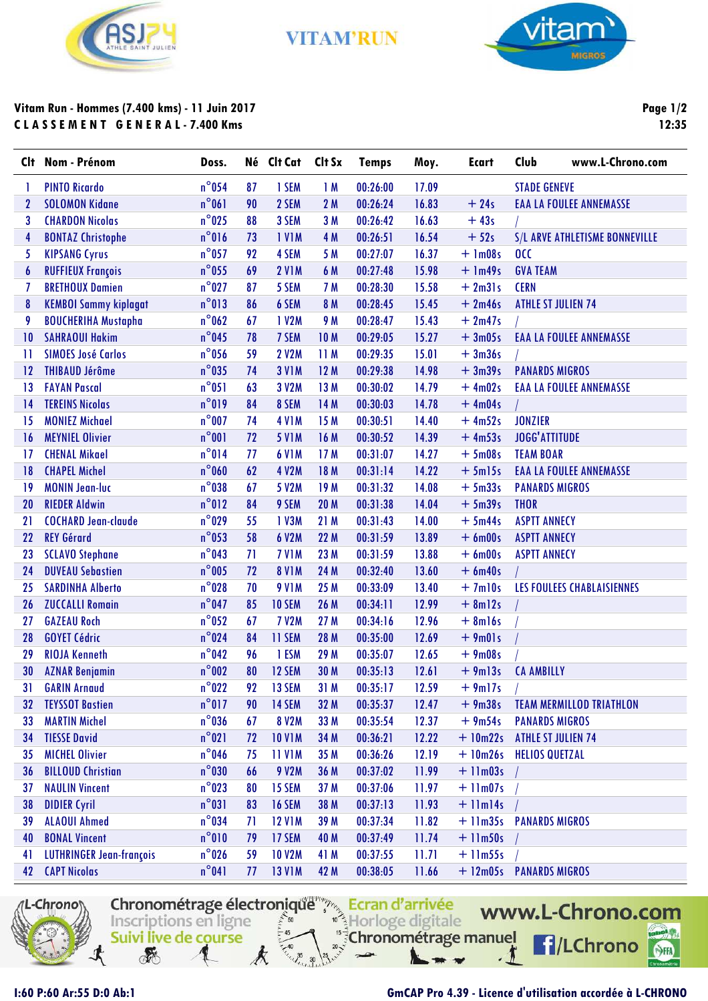

**VITAM'RUN** 



## **Vitam Run - Hommes (7.400 kms) - 11 Juin 2017 C L A S S E M E N T G E N E R A L - 7.400 Kms**

**Page 1/2 12:35**

| <b>C</b> It  | Nom - Prénom                    | Doss.           |    | Né Clt Cat    | Clt Sx | <b>Temps</b> | Moy.  | <b>Ecart</b>            | Club                      | www.L-Chrono.com                |
|--------------|---------------------------------|-----------------|----|---------------|--------|--------------|-------|-------------------------|---------------------------|---------------------------------|
| 1            | <b>PINTO Ricardo</b>            | $n^{\circ}$ 054 | 87 | 1 SEM         | 1M     | 00:26:00     | 17.09 |                         | <b>STADE GENEVE</b>       |                                 |
| $\mathbf{2}$ | <b>SOLOMON Kidane</b>           | $n^{\circ}061$  | 90 | 2 SEM         | 2M     | 00:26:24     | 16.83 | $+24s$                  |                           | <b>EAA LA FOULEE ANNEMASSE</b>  |
| 3            | <b>CHARDON Nicolas</b>          | $n^{\circ}$ 025 | 88 | 3 SEM         | 3M     | 00:26:42     | 16.63 | $+43s$                  |                           |                                 |
| 4            | <b>BONTAZ Christophe</b>        | $n^{\circ}016$  | 73 | <b>IVIM</b>   | 4 M    | 00:26:51     | 16.54 | $+52s$                  |                           | S/L ARVE ATHLETISME BONNEVILLE  |
| 5            | <b>KIPSANG Cyrus</b>            | $n^{\circ}$ 057 | 92 | 4 SEM         | 5 M    | 00:27:07     | 16.37 | $+ 1m08s$               | 0 <sub>C</sub>            |                                 |
| 6            | <b>RUFFIEUX François</b>        | $n^{\circ}$ 055 | 69 | <b>2 V1M</b>  | 6 M    | 00:27:48     | 15.98 | $+$ 1m49s               | <b>GVA TEAM</b>           |                                 |
| 7            | <b>BRETHOUX Damien</b>          | $n^{\circ}$ 027 | 87 | 5 SEM         | 7 M    | 00:28:30     | 15.58 | $+2m31s$                | <b>CERN</b>               |                                 |
| 8            | <b>KEMBOI Sammy kiplagat</b>    | $n^{\circ}013$  | 86 | 6 SEM         | 8 M    | 00:28:45     | 15.45 | $+2m46s$                | <b>ATHLE ST JULIEN 74</b> |                                 |
| 9            | <b>BOUCHERIHA Mustapha</b>      | $n^{\circ}$ 062 | 67 | 1 V2M         | 9 M    | 00:28:47     | 15.43 | $+2m47s$                |                           |                                 |
| 10           | <b>SAHRAOUI Hakim</b>           | $n^{\circ}$ 045 | 78 | 7 SEM         | 10 M   | 00:29:05     | 15.27 | $+3m05s$                |                           | <b>EAA LA FOULEE ANNEMASSE</b>  |
| 11           | <b>SIMOES José Carlos</b>       | $n^{\circ}$ 056 | 59 | <b>2 V2M</b>  | 11M    | 00:29:35     | 15.01 | $+3m36s$                |                           |                                 |
| 12           | <b>THIBAUD Jérôme</b>           | $n^{\circ}$ 035 | 74 | <b>3 V1M</b>  | 12M    | 00:29:38     | 14.98 | $+3m39s$                | <b>PANARDS MIGROS</b>     |                                 |
| 13           | <b>FAYAN Pascal</b>             | $n^{\circ}051$  | 63 | 3 V2M         | 13M    | 00:30:02     | 14.79 | $+4m02s$                |                           | <b>EAA LA FOULEE ANNEMASSE</b>  |
| 14           | <b>TEREINS Nicolas</b>          | $n^{\circ}019$  | 84 | 8 SEM         | 14 M   | 00:30:03     | 14.78 | $+4m04s$                |                           |                                 |
| 15           | <b>MONIEZ Michael</b>           | $n^{\circ}$ 007 | 74 | <b>4 V1M</b>  | 15 M   | 00:30:51     | 14.40 | $+4m52s$                | <b>JONZIER</b>            |                                 |
| 16           | <b>MEYNIEL Olivier</b>          | $n^{\circ}001$  | 72 | <b>5 V1M</b>  | 16 M   | 00:30:52     | 14.39 | $+4m53s$                | <b>JOGG'ATTITUDE</b>      |                                 |
| 17           | <b>CHENAL Mikael</b>            | n°014           | 77 | <b>6 V1M</b>  | 17M    | 00:31:07     | 14.27 | $+5m08s$                | <b>TEAM BOAR</b>          |                                 |
| 18           | <b>CHAPEL Michel</b>            | $n^{\circ}$ 060 | 62 | <b>4 V2M</b>  | 18 M   | 00:31:14     | 14.22 | $+5m15s$                |                           | <b>EAA LA FOULEE ANNEMASSE</b>  |
| 19           | <b>MONIN Jean-luc</b>           | $n^{\circ}$ 038 | 67 | 5 V2M         | 19 M   | 00:31:32     | 14.08 | $+5m33s$                | <b>PANARDS MIGROS</b>     |                                 |
| 20           | <b>RIEDER Aldwin</b>            | $n^{\circ}012$  | 84 | 9 SEM         | 20 M   | 00:31:38     | 14.04 | $+5m39s$                | <b>THOR</b>               |                                 |
| 21           | <b>COCHARD Jean-claude</b>      | $n^{\circ}$ 029 | 55 | 1 V3M         | 21 M   | 00:31:43     | 14.00 | $+5m44s$                | <b>ASPTT ANNECY</b>       |                                 |
| 22           | <b>REY Gérard</b>               | $n^{\circ}$ 053 | 58 | 6 V2M         | 22 M   | 00:31:59     | 13.89 | $+6$ m00s               | <b>ASPTT ANNECY</b>       |                                 |
| 23           | <b>SCLAVO Stephane</b>          | $n^{\circ}$ 043 | 71 | <b>7 V1M</b>  | 23 M   | 00:31:59     | 13.88 | $+6$ m00s               | <b>ASPTT ANNECY</b>       |                                 |
| 24           | <b>DUVEAU Sebastien</b>         | $n^{\circ}$ 005 | 72 | <b>8 V1M</b>  | 24 M   | 00:32:40     | 13.60 | $+6$ m40s               |                           |                                 |
| 25           | <b>SARDINHA Alberto</b>         | $n^{\circ}$ 028 | 70 | <b>9 V1M</b>  | 25 M   | 00:33:09     | 13.40 | $+7ml0s$                |                           | LES FOULEES CHABLAISIENNES      |
| 26           | <b>ZUCCALLI Romain</b>          | $n^{\circ}$ 047 | 85 | <b>10 SEM</b> | 26 M   | 00:34:11     | 12.99 | $+ 8m12s$               |                           |                                 |
| 27           | <b>GAZEAU Roch</b>              | $n^{\circ}$ 052 | 67 | <b>7 V2M</b>  | 27M    | 00:34:16     | 12.96 | $+ 8$ ml6s              |                           |                                 |
| 28           | <b>GOYET Cédric</b>             | $n^{\circ}$ 024 | 84 | 11 SEM        | 28 M   | 00:35:00     | 12.69 | $+9m01s$                |                           |                                 |
| 29           | <b>RIOJA Kenneth</b>            | $n^{\circ}$ 042 | 96 | 1 ESM         | 29 M   | 00:35:07     | 12.65 | $+9m08s$                |                           |                                 |
| 30           | <b>AZNAR Benjamin</b>           | $n^{\circ}002$  | 80 | 12 SEM        | 30 M   | 00:35:13     | 12.61 | $+9m13s$                | <b>CA AMBILLY</b>         |                                 |
| 31           | <b>GARIN Arnaud</b>             | $n^{\circ}$ 022 | 92 | 13 SEM        | 31 M   | 00:35:17     | 12.59 | $+9ml7s$                |                           |                                 |
| 32           | <b>TEYSSOT Bastien</b>          | $n^{\circ}017$  | 90 | 14 SEM        | 32 M   | 00:35:37     | 12.47 | $+9m38s$                |                           | <b>TEAM MERMILLOD TRIATHLON</b> |
| 33           | <b>MARTIN Michel</b>            | $n^{\circ}$ 036 | 67 | <b>8 V2M</b>  | 33 M   | 00:35:54     | 12.37 | $+9m54s$                | <b>PANARDS MIGROS</b>     |                                 |
| 34           | <b>TIESSE David</b>             | $n^{\circ}021$  | 72 | <b>10 V1M</b> | 34 M   | 00:36:21     | 12.22 | $+10m22s$               | <b>ATHLE ST JULIEN 74</b> |                                 |
| 35           | <b>MICHEL Olivier</b>           | $n^{\circ}$ 046 | 75 | <b>11 V1M</b> | 35 M   | 00:36:26     | 12.19 | $+10m26s$               | <b>HELIOS QUETZAL</b>     |                                 |
| 36           | <b>BILLOUD Christian</b>        | $n^{\circ}$ 030 | 66 | 9 V2M         | 36 M   | 00:37:02     | 11.99 | $+11m03s$               |                           |                                 |
| 37           | <b>NAULIN Vincent</b>           | $n^{\circ}$ 023 | 80 | 15 SEM        | 37 M   | 00:37:06     | 11.97 | $+11m07s$               |                           |                                 |
| 38           | <b>DIDIER Cyril</b>             | $n^{\circ}031$  | 83 | <b>16 SEM</b> | 38 M   | 00:37:13     | 11.93 | $+$ 11 $m$ 14s          |                           |                                 |
| 39           | <b>ALAOUI Ahmed</b>             | $n^{\circ}$ 034 | 71 | <b>12 V1M</b> | 39 M   | 00:37:34     | 11.82 | + 11m35s PANARDS MIGROS |                           |                                 |
| 40           | <b>BONAL Vincent</b>            | $n^{\circ}010$  | 79 | 17 SEM        | 40 M   | 00:37:49     | 11.74 | $+11m50s$               |                           |                                 |
| 41           | <b>LUTHRINGER Jean-françois</b> | $n^{\circ}$ 026 | 59 | <b>10 V2M</b> | 41 M   | 00:37:55     | 11.71 | $+$ 11 $m55s$           |                           |                                 |
| 42           | <b>CAPT Nicolas</b>             | $n^{\circ}041$  | 77 | <b>13 V1M</b> | 42 M   | 00:38:05     | 11.66 | + 12m05s PANARDS MIGROS |                           |                                 |

Chronométrage électronique results Ecran d'arrivée

 $\frac{1}{2}$ 50

Inscriptions en ligne

Suivi live de course

**REA** 

Horloge digitale

Chronométrage manuel



## **I:60 P:60 Ar:55 D:0 Ab:1 GmCAP Pro 4.39 - Licence d'utilisation accordée à L-CHRONO**

 $\sqrt{2}$ 

www.L-Chrono.com

**f**/LChrono

SHA